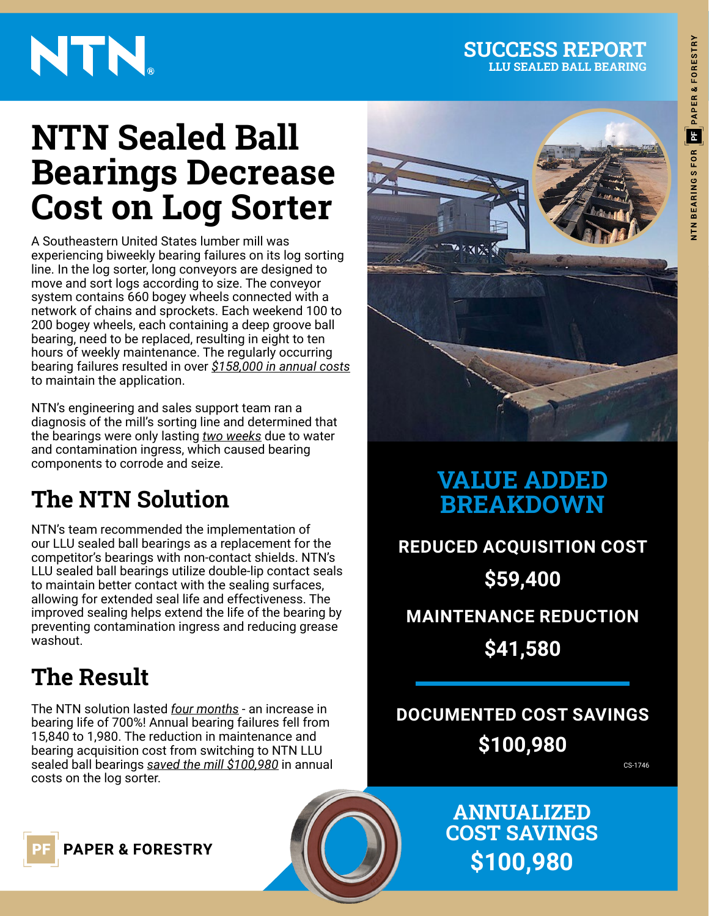# **NTN Sealed Ball Bearings Decrease Cost on Log Sorter**

A Southeastern United States lumber mill was experiencing biweekly bearing failures on its log sorting line. In the log sorter, long conveyors are designed to move and sort logs according to size. The conveyor system contains 660 bogey wheels connected with a network of chains and sprockets. Each weekend 100 to 200 bogey wheels, each containing a deep groove ball bearing, need to be replaced, resulting in eight to ten hours of weekly maintenance. The regularly occurring bearing failures resulted in over *\$158,000 in annual costs* to maintain the application.

NTN's engineering and sales support team ran a diagnosis of the mill's sorting line and determined that the bearings were only lasting *two weeks* due to water and contamination ingress, which caused bearing components to corrode and seize.

## **The NTN Solution**

NTN's team recommended the implementation of our LLU sealed ball bearings as a replacement for the competitor's bearings with non-contact shields. NTN's LLU sealed ball bearings utilize double-lip contact seals to maintain better contact with the sealing surfaces, allowing for extended seal life and effectiveness. The improved sealing helps extend the life of the bearing by preventing contamination ingress and reducing grease washout.

## **The Result**

The NTN solution lasted *four months* - an increase in bearing life of 700%! Annual bearing failures fell from 15,840 to 1,980. The reduction in maintenance and bearing acquisition cost from switching to NTN LLU sealed ball bearings *saved the mill \$100,980* in annual costs on the log sorter.



### **VALUE ADDED BREAKDOWN**

**REDUCED ACQUISITION COST \$59,400 MAINTENANCE REDUCTION \$41,580**

### **DOCUMENTED COST SAVINGS \$100,980**

CS-1746

**ANNUALIZED COST SAVINGS \$100,980**